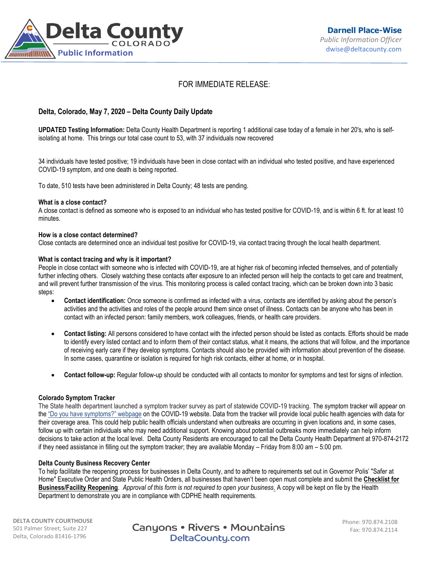

# FOR IMMEDIATE RELEASE:

# **Delta, Colorado, May 7, 2020 – Delta County Daily Update**

**UPDATED Testing Information:** Delta County Health Department is reporting 1 additional case today of a female in her 20's, who is selfisolating at home. This brings our total case count to 53, with 37 individuals now recovered

34 individuals have tested positive; 19 individuals have been in close contact with an individual who tested positive, and have experienced COVID-19 symptom, and one death is being reported.

To date, 510 tests have been administered in Delta County; 48 tests are pending.

#### **What is a close contact?**

A close contact is defined as someone who is exposed to an individual who has tested positive for COVID-19, and is within 6 ft. for at least 10 minutes.

#### **How is a close contact determined?**

Close contacts are determined once an individual test positive for COVID-19, via contact tracing through the local health department.

#### **What is contact tracing and why is it important?**

People in close contact with someone who is infected with COVID-19, are at higher risk of becoming infected themselves, and of potentially further infecting others. Closely watching these contacts after exposure to an infected person will help the contacts to get care and treatment, and will prevent further transmission of the virus. This monitoring process is called contact tracing, which can be broken down into 3 basic steps:

- **Contact identification:** Once someone is confirmed as infected with a virus, contacts are identified by asking about the person's activities and the activities and roles of the people around them since onset of illness. Contacts can be anyone who has been in contact with an infected person: family members, work colleagues, friends, or health care providers.
- **Contact listing:** All persons considered to have contact with the infected person should be listed as contacts. Efforts should be made to identify every listed contact and to inform them of their contact status, what it means, the actions that will follow, and the importance of receiving early care if they develop symptoms. Contacts should also be provided with information about prevention of the disease. In some cases, quarantine or isolation is required for high risk contacts, either at home, or in hospital.
- **Contact follow-up:** Regular follow-up should be conducted with all contacts to monitor for symptoms and test for signs of infection.

#### **Colorado Symptom Tracker**

The State health department launched a symptom tracker survey as part of statewide COVID-19 tracking. The symptom tracker will appear on the ["Do you have symptoms?" webpage](https://urldefense.proofpoint.com/v2/url?u=https-3A__covid19.colorado.gov_covid19-2Dsymptoms&d=DwMFaQ&c=sdnEM9SRGFuMt5z5w3AhsPNahmNicq64TgF1JwNR0cs&r=PnKX2o6V5rT28C01uT2jQaey7O9MlRgTjftfZ9p6mrI&m=VeZtDCOPLO9OSJM7nuzpB2rG_iy7tj1Io9J2P1Kv0QU&s=p9aYyGvZSKEJjKYyFnNCBKKjXxOW1Wzspe5dvhBVwWA&e=) on the COVID-19 website. Data from the tracker will provide local public health agencies with data for their coverage area. This could help public health officials understand when outbreaks are occurring in given locations and, in some cases, follow up with certain individuals who may need additional support. Knowing about potential outbreaks more immediately can help inform decisions to take action at the local level. Delta County Residents are encouraged to call the Delta County Health Department at 970-874-2172 if they need assistance in filling out the symptom tracker; they are available Monday – Friday from 8:00 am – 5:00 pm.

### **Delta County Business Recovery Center**

To help facilitate the reopening process for businesses in Delta County, and to adhere to requirements set out in Governor Polis' "Safer at Home" Executive Order and State Public Health Orders, all businesses that haven't been open must complete and submit the **[Checklist for](https://visitdeltacounty.us4.list-manage.com/track/click?u=005cc3109dd92ab1f9c369fea&id=3c4b7be17d&e=b79ba09168)  [Business/Facility Reopening](https://visitdeltacounty.us4.list-manage.com/track/click?u=005cc3109dd92ab1f9c369fea&id=3c4b7be17d&e=b79ba09168)**. *Approval of this form is not required to open your business*. A copy will be kept on file by the Health Department to demonstrate you are in compliance with CDPHE health requirements.

**DELTA COUNTY COURTHOUSE** 501 Palmer Street; Suite 227 Delta, Colorado 81416-1796

Canyons • Rivers • Mountains DeltaCounty.com

Phone: 970.874.2108 Fax: 970.874.2114